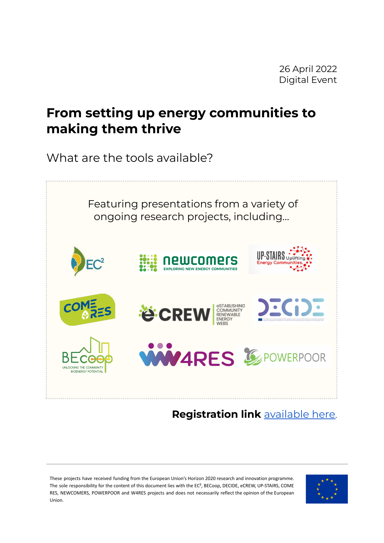## **From setting up energy communities to making them thrive**

What are the tools available?



**Registration link** [available](https://teams.microsoft.com/registration/DqfdQsySsUeHmFHlq3ekaQ,x3XmYptc8U-ogr-t0NucFw,1H6qKoQVR0W5-toNZX6Ufw,cDxwRSo0CEG5x7xuKyyEAQ,3X-O6iH9OUmbV2bfGH9PxQ,J7uFysQAGEy4TpdmFqewcA?mode=read&tenantId=42dda70e-92cc-47b1-8798-51e5ab77a469) here.

These projects have received funding from the European Union's Horizon 2020 research and innovation programme. The sole responsibility for the content of this document lies with the EC², BECoop, DECIDE, eCREW, UP-STAIRS, COME RES, NEWCOMERS, POWERPOOR and W4RES projects and does not necessarily reflect the opinion of the European Union.